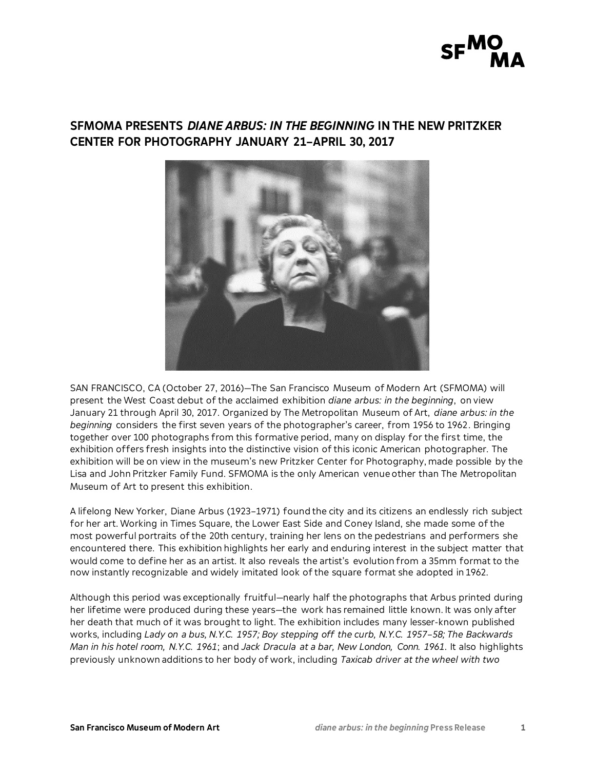

# **SFMOMA PRESENTS** *DIANE ARBUS: IN THE BEGINNING* **IN THE NEW PRITZKER CENTER FOR PHOTOGRAPHY JANUARY 21–APRIL 30, 2017**



SAN FRANCISCO, CA (October 27, 2016)—The San Francisco Museum of Modern Art (SFMOMA) will present the West Coast debut of the acclaimed exhibition *diane arbus: in the beginning*, on view January 21 through April 30, 2017. Organized by The Metropolitan Museum of Art, *diane arbus: in the beginning* considers the first seven years of the photographer's career, from 1956 to 1962. Bringing together over 100 photographs from this formative period, many on display for the first time, the exhibition offers fresh insights into the distinctive vision of this iconic American photographer. The exhibition will be on view in the museum's new Pritzker Center for Photography, made possible by the Lisa and John Pritzker Family Fund. SFMOMA is the only American venue other than The Metropolitan Museum of Art to present this exhibition.

A lifelong New Yorker, Diane Arbus (1923–1971) found the city and its citizens an endlessly rich subject for her art. Working in Times Square, the Lower East Side and Coney Island, she made some of the most powerful portraits of the 20th century, training her lens on the pedestrians and performers she encountered there. This exhibition highlights her early and enduring interest in the subject matter that would come to define her as an artist. It also reveals the artist's evolution from a 35mm format to the now instantly recognizable and widely imitated look of the square format she adopted in 1962.

Although this period was exceptionally fruitful—nearly half the photographs that Arbus printed during her lifetime were produced during these years—the work has remained little known. It was only after her death that much of it was brought to light. The exhibition includes many lesser-known published works, including *Lady on a bus, N.Y.C. 1957; Boy stepping off the curb, N.Y.C. 1957–58; The Backwards Man in his hotel room, N.Y.C. 1961*; and *Jack Dracula at a bar, New London, Conn. 1961.* It also highlights previously unknown additions to her body of work, including *Taxicab driver at the wheel with two*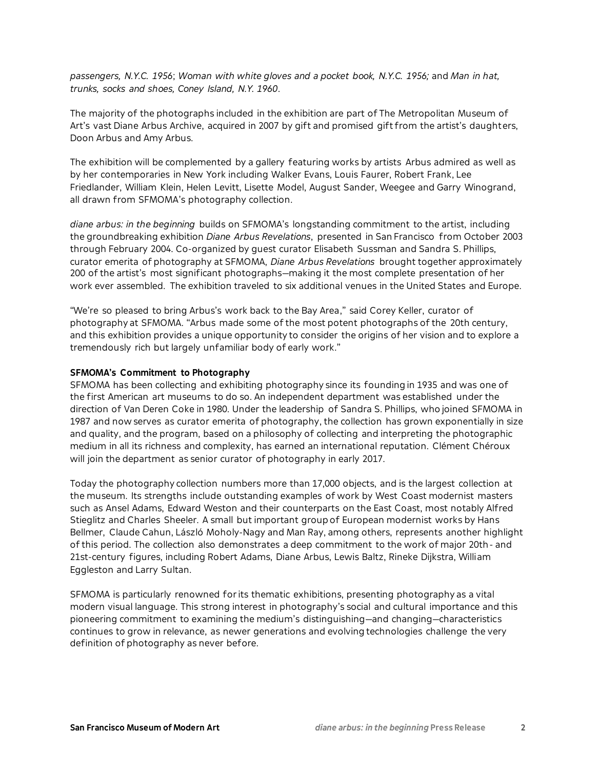*passengers, N.Y.C. 1956*; *Woman with white gloves and a pocket book, N.Y.C. 1956;* and *Man in hat, trunks, socks and shoes, Coney Island, N.Y. 1960*.

The majority of the photographs included in the exhibition are part of The Metropolitan Museum of Art's vast Diane Arbus Archive, acquired in 2007 by gift and promised gift from the artist's daughters, Doon Arbus and Amy Arbus.

The exhibition will be complemented by a gallery featuring works by artists Arbus admired as well as by her contemporaries in New York including Walker Evans, Louis Faurer, Robert Frank, Lee Friedlander, William Klein, Helen Levitt, Lisette Model, August Sander, Weegee and Garry Winogrand, all drawn from SFMOMA's photography collection.

*diane arbus: in the beginning* builds on SFMOMA's longstanding commitment to the artist, including the groundbreaking exhibition *Diane Arbus Revelations*, presented in San Francisco from October 2003 through February 2004*.* Co-organized by guest curator Elisabeth Sussman and Sandra S. Phillips, curator emerita of photography at SFMOMA, *Diane Arbus Revelations* brought together approximately 200 of the artist's most significant photographs—making it the most complete presentation of her work ever assembled. The exhibition traveled to six additional venues in the United States and Europe.

"We're so pleased to bring Arbus's work back to the Bay Area," said Corey Keller, curator of photography at SFMOMA. "Arbus made some of the most potent photographs of the 20th century, and this exhibition provides a unique opportunity to consider the origins of her vision and to explore a tremendously rich but largely unfamiliar body of early work."

# **SFMOMA's Commitment to Photography**

SFMOMA has been collecting and exhibiting photography since its founding in 1935 and was one of the first American art museums to do so. An independent department was established under the direction of Van Deren Coke in 1980. Under the leadership of Sandra S. Phillips, who joined SFMOMA in 1987 and now serves as curator emerita of photography, the collection has grown exponentially in size and quality, and the program, based on a philosophy of collecting and interpreting the photographic medium in all its richness and complexity, has earned an international reputation. Clément Chéroux will join the department as senior curator of photography in early 2017.

Today the photography collection numbers more than 17,000 objects, and is the largest collection at the museum. Its strengths include outstanding examples of work by West Coast modernist masters such as Ansel Adams, Edward Weston and their counterparts on the East Coast, most notably Alfred Stieglitz and Charles Sheeler. A small but important group of European modernist works by Hans Bellmer, Claude Cahun, László Moholy-Nagy and Man Ray, among others, represents another highlight of this period. The collection also demonstrates a deep commitment to the work of major 20th- and 21st-century figures, including Robert Adams, Diane Arbus, Lewis Baltz, Rineke Dijkstra, William Eggleston and Larry Sultan.

SFMOMA is particularly renowned for its thematic exhibitions, presenting photography as a vital modern visual language. This strong interest in photography's social and cultural importance and this pioneering commitment to examining the medium's distinguishing—and changing—characteristics continues to grow in relevance, as newer generations and evolving technologies challenge the very definition of photography as never before.